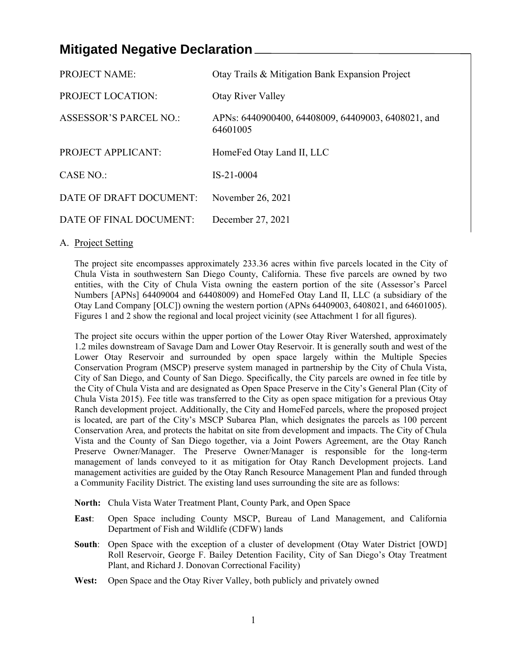# **Mitigated Negative Declaration**

| <b>PROJECT NAME:</b>          | Otay Trails & Mitigation Bank Expansion Project                |
|-------------------------------|----------------------------------------------------------------|
| <b>PROJECT LOCATION:</b>      | Otay River Valley                                              |
| <b>ASSESSOR'S PARCEL NO.:</b> | APNs: 6440900400, 64408009, 64409003, 6408021, and<br>64601005 |
| <b>PROJECT APPLICANT:</b>     | HomeFed Otay Land II, LLC                                      |
| CASE NO.:                     | $IS-21-0004$                                                   |
| DATE OF DRAFT DOCUMENT:       | November 26, 2021                                              |
| DATE OF FINAL DOCUMENT:       | December 27, 2021                                              |

## A. Project Setting

The project site encompasses approximately 233.36 acres within five parcels located in the City of Chula Vista in southwestern San Diego County, California. These five parcels are owned by two entities, with the City of Chula Vista owning the eastern portion of the site (Assessor's Parcel Numbers [APNs] 64409004 and 64408009) and HomeFed Otay Land II, LLC (a subsidiary of the Otay Land Company [OLC]) owning the western portion (APNs 64409003, 6408021, and 64601005). Figures 1 and 2 show the regional and local project vicinity (see Attachment 1 for all figures).

The project site occurs within the upper portion of the Lower Otay River Watershed, approximately 1.2 miles downstream of Savage Dam and Lower Otay Reservoir. It is generally south and west of the Lower Otay Reservoir and surrounded by open space largely within the Multiple Species Conservation Program (MSCP) preserve system managed in partnership by the City of Chula Vista, City of San Diego, and County of San Diego. Specifically, the City parcels are owned in fee title by the City of Chula Vista and are designated as Open Space Preserve in the City's General Plan (City of Chula Vista 2015). Fee title was transferred to the City as open space mitigation for a previous Otay Ranch development project. Additionally, the City and HomeFed parcels, where the proposed project is located, are part of the City's MSCP Subarea Plan, which designates the parcels as 100 percent Conservation Area, and protects the habitat on site from development and impacts. The City of Chula Vista and the County of San Diego together, via a Joint Powers Agreement, are the Otay Ranch Preserve Owner/Manager. The Preserve Owner/Manager is responsible for the long-term management of lands conveyed to it as mitigation for Otay Ranch Development projects. Land management activities are guided by the Otay Ranch Resource Management Plan and funded through a Community Facility District. The existing land uses surrounding the site are as follows:

- **North:** Chula Vista Water Treatment Plant, County Park, and Open Space
- **East**: Open Space including County MSCP, Bureau of Land Management, and California Department of Fish and Wildlife (CDFW) lands
- **South**: Open Space with the exception of a cluster of development (Otay Water District [OWD] Roll Reservoir, George F. Bailey Detention Facility, City of San Diego's Otay Treatment Plant, and Richard J. Donovan Correctional Facility)
- **West:** Open Space and the Otay River Valley, both publicly and privately owned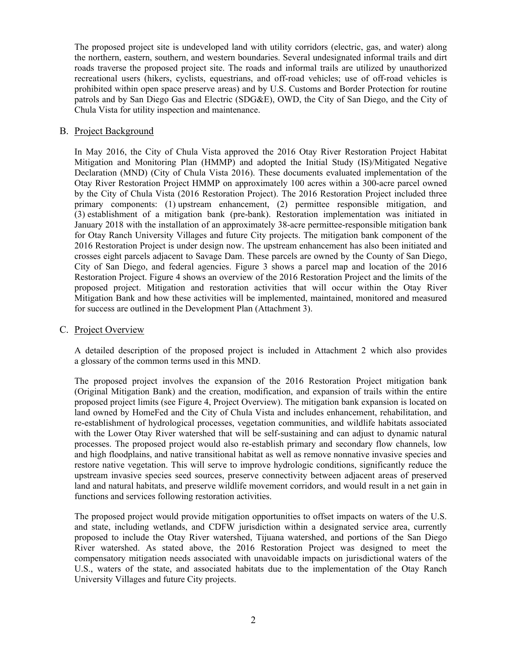The proposed project site is undeveloped land with utility corridors (electric, gas, and water) along the northern, eastern, southern, and western boundaries. Several undesignated informal trails and dirt roads traverse the proposed project site. The roads and informal trails are utilized by unauthorized recreational users (hikers, cyclists, equestrians, and off-road vehicles; use of off-road vehicles is prohibited within open space preserve areas) and by U.S. Customs and Border Protection for routine patrols and by San Diego Gas and Electric (SDG&E), OWD, the City of San Diego, and the City of Chula Vista for utility inspection and maintenance.

#### B. Project Background

In May 2016, the City of Chula Vista approved the 2016 Otay River Restoration Project Habitat Mitigation and Monitoring Plan (HMMP) and adopted the Initial Study (IS)/Mitigated Negative Declaration (MND) (City of Chula Vista 2016). These documents evaluated implementation of the Otay River Restoration Project HMMP on approximately 100 acres within a 300-acre parcel owned by the City of Chula Vista (2016 Restoration Project). The 2016 Restoration Project included three primary components: (1) upstream enhancement, (2) permittee responsible mitigation, and (3) establishment of a mitigation bank (pre-bank). Restoration implementation was initiated in January 2018 with the installation of an approximately 38-acre permittee-responsible mitigation bank for Otay Ranch University Villages and future City projects. The mitigation bank component of the 2016 Restoration Project is under design now. The upstream enhancement has also been initiated and crosses eight parcels adjacent to Savage Dam. These parcels are owned by the County of San Diego, City of San Diego, and federal agencies. Figure 3 shows a parcel map and location of the 2016 Restoration Project. Figure 4 shows an overview of the 2016 Restoration Project and the limits of the proposed project. Mitigation and restoration activities that will occur within the Otay River Mitigation Bank and how these activities will be implemented, maintained, monitored and measured for success are outlined in the Development Plan (Attachment 3).

#### C. Project Overview

A detailed description of the proposed project is included in Attachment 2 which also provides a glossary of the common terms used in this MND.

The proposed project involves the expansion of the 2016 Restoration Project mitigation bank (Original Mitigation Bank) and the creation, modification, and expansion of trails within the entire proposed project limits (see Figure 4, Project Overview). The mitigation bank expansion is located on land owned by HomeFed and the City of Chula Vista and includes enhancement, rehabilitation, and re-establishment of hydrological processes, vegetation communities, and wildlife habitats associated with the Lower Otay River watershed that will be self-sustaining and can adjust to dynamic natural processes. The proposed project would also re-establish primary and secondary flow channels, low and high floodplains, and native transitional habitat as well as remove nonnative invasive species and restore native vegetation. This will serve to improve hydrologic conditions, significantly reduce the upstream invasive species seed sources, preserve connectivity between adjacent areas of preserved land and natural habitats, and preserve wildlife movement corridors, and would result in a net gain in functions and services following restoration activities.

The proposed project would provide mitigation opportunities to offset impacts on waters of the U.S. and state, including wetlands, and CDFW jurisdiction within a designated service area, currently proposed to include the Otay River watershed, Tijuana watershed, and portions of the San Diego River watershed. As stated above, the 2016 Restoration Project was designed to meet the compensatory mitigation needs associated with unavoidable impacts on jurisdictional waters of the U.S., waters of the state, and associated habitats due to the implementation of the Otay Ranch University Villages and future City projects.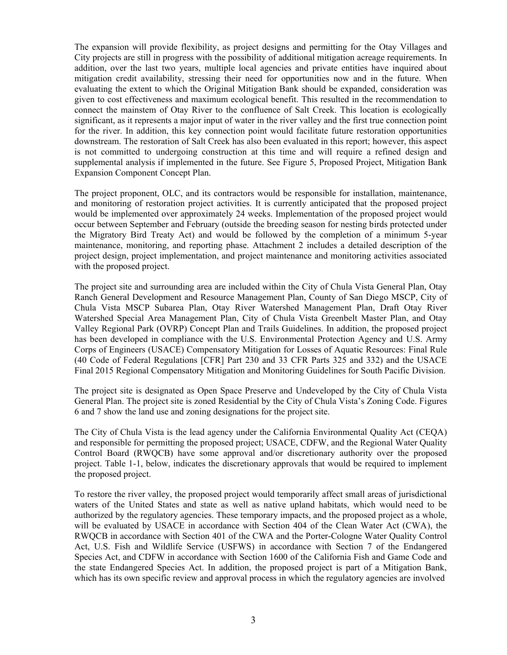The expansion will provide flexibility, as project designs and permitting for the Otay Villages and City projects are still in progress with the possibility of additional mitigation acreage requirements. In addition, over the last two years, multiple local agencies and private entities have inquired about mitigation credit availability, stressing their need for opportunities now and in the future. When evaluating the extent to which the Original Mitigation Bank should be expanded, consideration was given to cost effectiveness and maximum ecological benefit. This resulted in the recommendation to connect the mainstem of Otay River to the confluence of Salt Creek. This location is ecologically significant, as it represents a major input of water in the river valley and the first true connection point for the river. In addition, this key connection point would facilitate future restoration opportunities downstream. The restoration of Salt Creek has also been evaluated in this report; however, this aspect is not committed to undergoing construction at this time and will require a refined design and supplemental analysis if implemented in the future. See Figure 5, Proposed Project, Mitigation Bank Expansion Component Concept Plan.

The project proponent, OLC, and its contractors would be responsible for installation, maintenance, and monitoring of restoration project activities. It is currently anticipated that the proposed project would be implemented over approximately 24 weeks. Implementation of the proposed project would occur between September and February (outside the breeding season for nesting birds protected under the Migratory Bird Treaty Act) and would be followed by the completion of a minimum 5-year maintenance, monitoring, and reporting phase. Attachment 2 includes a detailed description of the project design, project implementation, and project maintenance and monitoring activities associated with the proposed project.

The project site and surrounding area are included within the City of Chula Vista General Plan, Otay Ranch General Development and Resource Management Plan, County of San Diego MSCP, City of Chula Vista MSCP Subarea Plan, Otay River Watershed Management Plan, Draft Otay River Watershed Special Area Management Plan, City of Chula Vista Greenbelt Master Plan, and Otay Valley Regional Park (OVRP) Concept Plan and Trails Guidelines. In addition, the proposed project has been developed in compliance with the U.S. Environmental Protection Agency and U.S. Army Corps of Engineers (USACE) Compensatory Mitigation for Losses of Aquatic Resources: Final Rule (40 Code of Federal Regulations [CFR] Part 230 and 33 CFR Parts 325 and 332) and the USACE Final 2015 Regional Compensatory Mitigation and Monitoring Guidelines for South Pacific Division.

The project site is designated as Open Space Preserve and Undeveloped by the City of Chula Vista General Plan. The project site is zoned Residential by the City of Chula Vista's Zoning Code. Figures 6 and 7 show the land use and zoning designations for the project site.

The City of Chula Vista is the lead agency under the California Environmental Quality Act (CEQA) and responsible for permitting the proposed project; USACE, CDFW, and the Regional Water Quality Control Board (RWQCB) have some approval and/or discretionary authority over the proposed project. Table 1-1, below, indicates the discretionary approvals that would be required to implement the proposed project.

To restore the river valley, the proposed project would temporarily affect small areas of jurisdictional waters of the United States and state as well as native upland habitats, which would need to be authorized by the regulatory agencies. These temporary impacts, and the proposed project as a whole, will be evaluated by USACE in accordance with Section 404 of the Clean Water Act (CWA), the RWQCB in accordance with Section 401 of the CWA and the Porter-Cologne Water Quality Control Act, U.S. Fish and Wildlife Service (USFWS) in accordance with Section 7 of the Endangered Species Act, and CDFW in accordance with Section 1600 of the California Fish and Game Code and the state Endangered Species Act. In addition, the proposed project is part of a Mitigation Bank, which has its own specific review and approval process in which the regulatory agencies are involved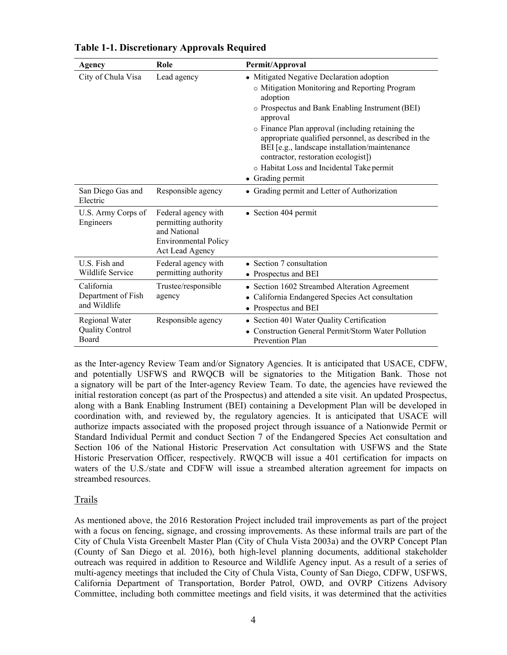| <b>Agency</b>                                     | Role                                                                                                          | Permit/Approval                                                                                                                                                                                                                                                                                                                                                                                                                            |
|---------------------------------------------------|---------------------------------------------------------------------------------------------------------------|--------------------------------------------------------------------------------------------------------------------------------------------------------------------------------------------------------------------------------------------------------------------------------------------------------------------------------------------------------------------------------------------------------------------------------------------|
| City of Chula Visa                                | Lead agency                                                                                                   | • Mitigated Negative Declaration adoption<br>o Mitigation Monitoring and Reporting Program<br>adoption<br>o Prospectus and Bank Enabling Instrument (BEI)<br>approval<br>o Finance Plan approval (including retaining the<br>appropriate qualified personnel, as described in the<br>BEI [e.g., landscape installation/maintenance<br>contractor, restoration ecologist])<br>o Habitat Loss and Incidental Take permit<br>• Grading permit |
| San Diego Gas and<br>Electric                     | Responsible agency                                                                                            | • Grading permit and Letter of Authorization                                                                                                                                                                                                                                                                                                                                                                                               |
| U.S. Army Corps of<br>Engineers                   | Federal agency with<br>permitting authority<br>and National<br><b>Environmental Policy</b><br>Act Lead Agency | • Section 404 permit                                                                                                                                                                                                                                                                                                                                                                                                                       |
| U.S. Fish and<br>Wildlife Service                 | Federal agency with<br>permitting authority                                                                   | • Section 7 consultation<br>• Prospectus and BEI                                                                                                                                                                                                                                                                                                                                                                                           |
| California<br>Department of Fish<br>and Wildlife  | Trustee/responsible<br>agency                                                                                 | • Section 1602 Streambed Alteration Agreement<br>California Endangered Species Act consultation<br>• Prospectus and BEI                                                                                                                                                                                                                                                                                                                    |
| Regional Water<br><b>Quality Control</b><br>Board | Responsible agency                                                                                            | • Section 401 Water Quality Certification<br>Construction General Permit/Storm Water Pollution<br>Prevention Plan                                                                                                                                                                                                                                                                                                                          |

**Table 1-1. Discretionary Approvals Required**

as the Inter-agency Review Team and/or Signatory Agencies. It is anticipated that USACE, CDFW, and potentially USFWS and RWQCB will be signatories to the Mitigation Bank. Those not a signatory will be part of the Inter-agency Review Team. To date, the agencies have reviewed the initial restoration concept (as part of the Prospectus) and attended a site visit. An updated Prospectus, along with a Bank Enabling Instrument (BEI) containing a Development Plan will be developed in coordination with, and reviewed by, the regulatory agencies. It is anticipated that USACE will authorize impacts associated with the proposed project through issuance of a Nationwide Permit or Standard Individual Permit and conduct Section 7 of the Endangered Species Act consultation and Section 106 of the National Historic Preservation Act consultation with USFWS and the State Historic Preservation Officer, respectively. RWQCB will issue a 401 certification for impacts on waters of the U.S./state and CDFW will issue a streambed alteration agreement for impacts on streambed resources.

#### Trails

As mentioned above, the 2016 Restoration Project included trail improvements as part of the project with a focus on fencing, signage, and crossing improvements. As these informal trails are part of the City of Chula Vista Greenbelt Master Plan (City of Chula Vista 2003a) and the OVRP Concept Plan (County of San Diego et al. 2016), both high-level planning documents, additional stakeholder outreach was required in addition to Resource and Wildlife Agency input. As a result of a series of multi-agency meetings that included the City of Chula Vista, County of San Diego, CDFW, USFWS, California Department of Transportation, Border Patrol, OWD, and OVRP Citizens Advisory Committee, including both committee meetings and field visits, it was determined that the activities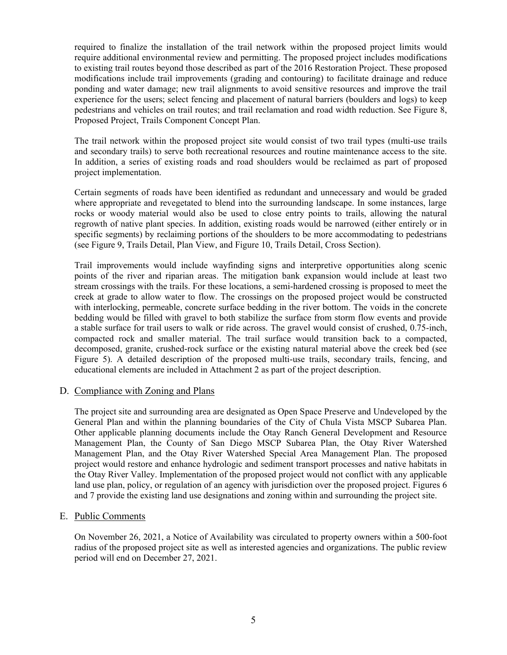required to finalize the installation of the trail network within the proposed project limits would require additional environmental review and permitting. The proposed project includes modifications to existing trail routes beyond those described as part of the 2016 Restoration Project. These proposed modifications include trail improvements (grading and contouring) to facilitate drainage and reduce ponding and water damage; new trail alignments to avoid sensitive resources and improve the trail experience for the users; select fencing and placement of natural barriers (boulders and logs) to keep pedestrians and vehicles on trail routes; and trail reclamation and road width reduction. See Figure 8, Proposed Project, Trails Component Concept Plan.

The trail network within the proposed project site would consist of two trail types (multi-use trails and secondary trails) to serve both recreational resources and routine maintenance access to the site. In addition, a series of existing roads and road shoulders would be reclaimed as part of proposed project implementation.

Certain segments of roads have been identified as redundant and unnecessary and would be graded where appropriate and revegetated to blend into the surrounding landscape. In some instances, large rocks or woody material would also be used to close entry points to trails, allowing the natural regrowth of native plant species. In addition, existing roads would be narrowed (either entirely or in specific segments) by reclaiming portions of the shoulders to be more accommodating to pedestrians (see Figure 9, Trails Detail, Plan View, and Figure 10, Trails Detail, Cross Section).

Trail improvements would include wayfinding signs and interpretive opportunities along scenic points of the river and riparian areas. The mitigation bank expansion would include at least two stream crossings with the trails. For these locations, a semi-hardened crossing is proposed to meet the creek at grade to allow water to flow. The crossings on the proposed project would be constructed with interlocking, permeable, concrete surface bedding in the river bottom. The voids in the concrete bedding would be filled with gravel to both stabilize the surface from storm flow events and provide a stable surface for trail users to walk or ride across. The gravel would consist of crushed, 0.75-inch, compacted rock and smaller material. The trail surface would transition back to a compacted, decomposed, granite, crushed-rock surface or the existing natural material above the creek bed (see Figure 5). A detailed description of the proposed multi-use trails, secondary trails, fencing, and educational elements are included in Attachment 2 as part of the project description.

#### D. Compliance with Zoning and Plans

The project site and surrounding area are designated as Open Space Preserve and Undeveloped by the General Plan and within the planning boundaries of the City of Chula Vista MSCP Subarea Plan. Other applicable planning documents include the Otay Ranch General Development and Resource Management Plan, the County of San Diego MSCP Subarea Plan, the Otay River Watershed Management Plan, and the Otay River Watershed Special Area Management Plan. The proposed project would restore and enhance hydrologic and sediment transport processes and native habitats in the Otay River Valley. Implementation of the proposed project would not conflict with any applicable land use plan, policy, or regulation of an agency with jurisdiction over the proposed project. Figures 6 and 7 provide the existing land use designations and zoning within and surrounding the project site.

#### E. Public Comments

On November 26, 2021, a Notice of Availability was circulated to property owners within a 500-foot radius of the proposed project site as well as interested agencies and organizations. The public review period will end on December 27, 2021.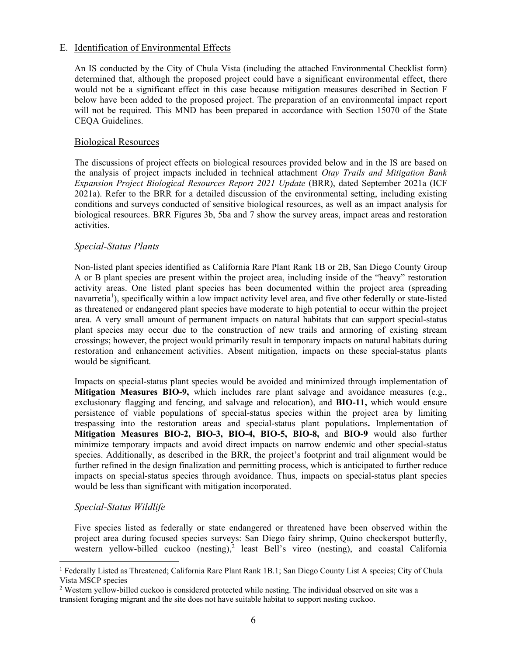## E. Identification of Environmental Effects

An IS conducted by the City of Chula Vista (including the attached Environmental Checklist form) determined that, although the proposed project could have a significant environmental effect, there would not be a significant effect in this case because mitigation measures described in Section F below have been added to the proposed project. The preparation of an environmental impact report will not be required. This MND has been prepared in accordance with Section 15070 of the State CEQA Guidelines.

#### Biological Resources

The discussions of project effects on biological resources provided below and in the IS are based on the analysis of project impacts included in technical attachment *Otay Trails and Mitigation Bank Expansion Project Biological Resources Report 2021 Update* (BRR), dated September 2021a (ICF 2021a). Refer to the BRR for a detailed discussion of the environmental setting, including existing conditions and surveys conducted of sensitive biological resources, as well as an impact analysis for biological resources. BRR Figures 3b, 5ba and 7 show the survey areas, impact areas and restoration activities.

## *Special-Status Plants*

Non-listed plant species identified as California Rare Plant Rank 1B or 2B, San Diego County Group A or B plant species are present within the project area, including inside of the "heavy" restoration activity areas. One listed plant species has been documented within the project area (spreading navarretia<sup>1</sup>), specifically within a low impact activity level area, and five other federally or state-listed as threatened or endangered plant species have moderate to high potential to occur within the project area. A very small amount of permanent impacts on natural habitats that can support special-status plant species may occur due to the construction of new trails and armoring of existing stream crossings; however, the project would primarily result in temporary impacts on natural habitats during restoration and enhancement activities. Absent mitigation, impacts on these special-status plants would be significant.

Impacts on special-status plant species would be avoided and minimized through implementation of **Mitigation Measures BIO-9,** which includes rare plant salvage and avoidance measures (e.g., exclusionary flagging and fencing, and salvage and relocation), and **BIO-11,** which would ensure persistence of viable populations of special-status species within the project area by limiting trespassing into the restoration areas and special-status plant populations**.** Implementation of **Mitigation Measures BIO-2, BIO-3, BIO-4, BIO-5, BIO-8,** and **BIO-9** would also further minimize temporary impacts and avoid direct impacts on narrow endemic and other special-status species. Additionally, as described in the BRR, the project's footprint and trail alignment would be further refined in the design finalization and permitting process, which is anticipated to further reduce impacts on special-status species through avoidance. Thus, impacts on special-status plant species would be less than significant with mitigation incorporated.

## *Special-Status Wildlife*

Five species listed as federally or state endangered or threatened have been observed within the project area during focused species surveys: San Diego fairy shrimp, Quino checkerspot butterfly, western yellow-billed cuckoo (nesting),<sup>2</sup> least Bell's vireo (nesting), and coastal California

<sup>1</sup> Federally Listed as Threatened; California Rare Plant Rank 1B.1; San Diego County List A species; City of Chula Vista MSCP species

<sup>&</sup>lt;sup>2</sup> Western yellow-billed cuckoo is considered protected while nesting. The individual observed on site was a transient foraging migrant and the site does not have suitable habitat to support nesting cuckoo.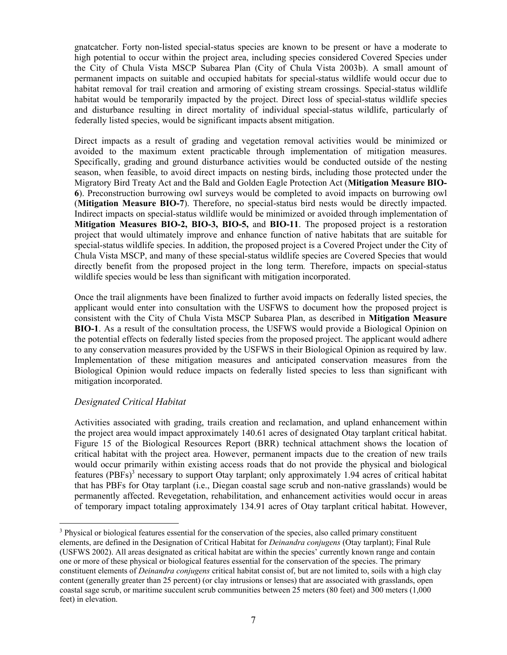gnatcatcher. Forty non-listed special-status species are known to be present or have a moderate to high potential to occur within the project area, including species considered Covered Species under the City of Chula Vista MSCP Subarea Plan (City of Chula Vista 2003b). A small amount of permanent impacts on suitable and occupied habitats for special-status wildlife would occur due to habitat removal for trail creation and armoring of existing stream crossings. Special-status wildlife habitat would be temporarily impacted by the project. Direct loss of special-status wildlife species and disturbance resulting in direct mortality of individual special-status wildlife, particularly of federally listed species, would be significant impacts absent mitigation.

Direct impacts as a result of grading and vegetation removal activities would be minimized or avoided to the maximum extent practicable through implementation of mitigation measures. Specifically, grading and ground disturbance activities would be conducted outside of the nesting season, when feasible, to avoid direct impacts on nesting birds, including those protected under the Migratory Bird Treaty Act and the Bald and Golden Eagle Protection Act (**Mitigation Measure BIO-6**). Preconstruction burrowing owl surveys would be completed to avoid impacts on burrowing owl (**Mitigation Measure BIO-7**). Therefore, no special-status bird nests would be directly impacted. Indirect impacts on special-status wildlife would be minimized or avoided through implementation of **Mitigation Measures BIO-2, BIO-3, BIO-5,** and **BIO-11**. The proposed project is a restoration project that would ultimately improve and enhance function of native habitats that are suitable for special-status wildlife species. In addition, the proposed project is a Covered Project under the City of Chula Vista MSCP, and many of these special-status wildlife species are Covered Species that would directly benefit from the proposed project in the long term*.* Therefore, impacts on special-status wildlife species would be less than significant with mitigation incorporated.

Once the trail alignments have been finalized to further avoid impacts on federally listed species, the applicant would enter into consultation with the USFWS to document how the proposed project is consistent with the City of Chula Vista MSCP Subarea Plan, as described in **Mitigation Measure BIO-1**. As a result of the consultation process, the USFWS would provide a Biological Opinion on the potential effects on federally listed species from the proposed project. The applicant would adhere to any conservation measures provided by the USFWS in their Biological Opinion as required by law. Implementation of these mitigation measures and anticipated conservation measures from the Biological Opinion would reduce impacts on federally listed species to less than significant with mitigation incorporated.

## *Designated Critical Habitat*

Activities associated with grading, trails creation and reclamation, and upland enhancement within the project area would impact approximately 140.61 acres of designated Otay tarplant critical habitat. Figure 15 of the Biological Resources Report (BRR) technical attachment shows the location of critical habitat with the project area. However, permanent impacts due to the creation of new trails would occur primarily within existing access roads that do not provide the physical and biological features (PBFs)<sup>3</sup> necessary to support Otay tarplant; only approximately 1.94 acres of critical habitat that has PBFs for Otay tarplant (i.e., Diegan coastal sage scrub and non-native grasslands) would be permanently affected. Revegetation, rehabilitation, and enhancement activities would occur in areas of temporary impact totaling approximately 134.91 acres of Otay tarplant critical habitat. However,

<sup>&</sup>lt;sup>3</sup> Physical or biological features essential for the conservation of the species, also called primary constituent elements, are defined in the Designation of Critical Habitat for *Deinandra conjugens* (Otay tarplant); Final Rule (USFWS 2002). All areas designated as critical habitat are within the species' currently known range and contain one or more of these physical or biological features essential for the conservation of the species. The primary constituent elements of *Deinandra conjugens* critical habitat consist of, but are not limited to, soils with a high clay content (generally greater than 25 percent) (or clay intrusions or lenses) that are associated with grasslands, open coastal sage scrub, or maritime succulent scrub communities between 25 meters (80 feet) and 300 meters (1,000 feet) in elevation.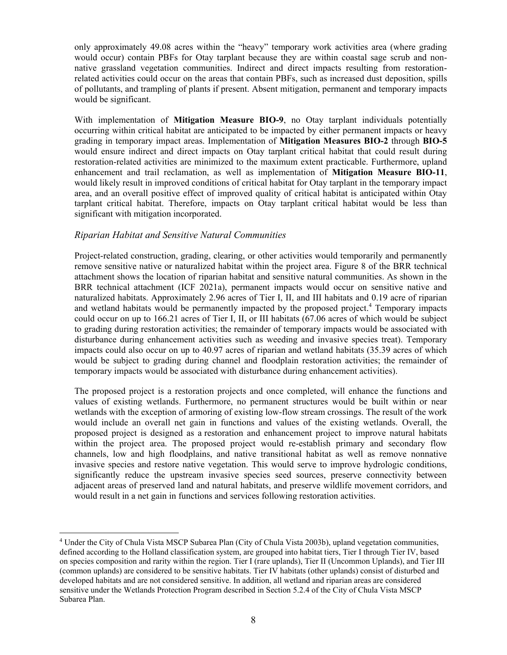only approximately 49.08 acres within the "heavy" temporary work activities area (where grading would occur) contain PBFs for Otay tarplant because they are within coastal sage scrub and nonnative grassland vegetation communities. Indirect and direct impacts resulting from restorationrelated activities could occur on the areas that contain PBFs, such as increased dust deposition, spills of pollutants, and trampling of plants if present. Absent mitigation, permanent and temporary impacts would be significant.

With implementation of **Mitigation Measure BIO-9**, no Otay tarplant individuals potentially occurring within critical habitat are anticipated to be impacted by either permanent impacts or heavy grading in temporary impact areas. Implementation of **Mitigation Measures BIO-2** through **BIO-5** would ensure indirect and direct impacts on Otay tarplant critical habitat that could result during restoration-related activities are minimized to the maximum extent practicable. Furthermore, upland enhancement and trail reclamation, as well as implementation of **Mitigation Measure BIO-11**, would likely result in improved conditions of critical habitat for Otay tarplant in the temporary impact area, and an overall positive effect of improved quality of critical habitat is anticipated within Otay tarplant critical habitat. Therefore, impacts on Otay tarplant critical habitat would be less than significant with mitigation incorporated.

## *Riparian Habitat and Sensitive Natural Communities*

Project-related construction, grading, clearing, or other activities would temporarily and permanently remove sensitive native or naturalized habitat within the project area. Figure 8 of the BRR technical attachment shows the location of riparian habitat and sensitive natural communities. As shown in the BRR technical attachment (ICF 2021a), permanent impacts would occur on sensitive native and naturalized habitats. Approximately 2.96 acres of Tier I, II, and III habitats and 0.19 acre of riparian and wetland habitats would be permanently impacted by the proposed project. <sup>4</sup> Temporary impacts could occur on up to 166.21 acres of Tier I, II, or III habitats (67.06 acres of which would be subject to grading during restoration activities; the remainder of temporary impacts would be associated with disturbance during enhancement activities such as weeding and invasive species treat). Temporary impacts could also occur on up to 40.97 acres of riparian and wetland habitats (35.39 acres of which would be subject to grading during channel and floodplain restoration activities; the remainder of temporary impacts would be associated with disturbance during enhancement activities).

The proposed project is a restoration projects and once completed, will enhance the functions and values of existing wetlands. Furthermore, no permanent structures would be built within or near wetlands with the exception of armoring of existing low-flow stream crossings. The result of the work would include an overall net gain in functions and values of the existing wetlands. Overall, the proposed project is designed as a restoration and enhancement project to improve natural habitats within the project area. The proposed project would re-establish primary and secondary flow channels, low and high floodplains, and native transitional habitat as well as remove nonnative invasive species and restore native vegetation. This would serve to improve hydrologic conditions, significantly reduce the upstream invasive species seed sources, preserve connectivity between adjacent areas of preserved land and natural habitats, and preserve wildlife movement corridors, and would result in a net gain in functions and services following restoration activities.

<sup>4</sup> Under the City of Chula Vista MSCP Subarea Plan (City of Chula Vista 2003b), upland vegetation communities, defined according to the Holland classification system, are grouped into habitat tiers, Tier I through Tier IV, based on species composition and rarity within the region. Tier I (rare uplands), Tier II (Uncommon Uplands), and Tier III (common uplands) are considered to be sensitive habitats. Tier IV habitats (other uplands) consist of disturbed and developed habitats and are not considered sensitive. In addition, all wetland and riparian areas are considered sensitive under the Wetlands Protection Program described in Section 5.2.4 of the City of Chula Vista MSCP Subarea Plan.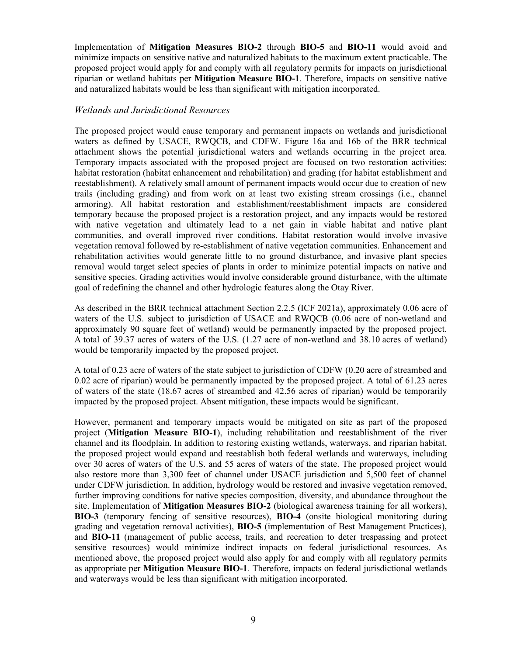Implementation of **Mitigation Measures BIO-2** through **BIO-5** and **BIO-11** would avoid and minimize impacts on sensitive native and naturalized habitats to the maximum extent practicable. The proposed project would apply for and comply with all regulatory permits for impacts on jurisdictional riparian or wetland habitats per **Mitigation Measure BIO-1***.* Therefore, impacts on sensitive native and naturalized habitats would be less than significant with mitigation incorporated.

#### *Wetlands and Jurisdictional Resources*

The proposed project would cause temporary and permanent impacts on wetlands and jurisdictional waters as defined by USACE, RWQCB, and CDFW. Figure 16a and 16b of the BRR technical attachment shows the potential jurisdictional waters and wetlands occurring in the project area. Temporary impacts associated with the proposed project are focused on two restoration activities: habitat restoration (habitat enhancement and rehabilitation) and grading (for habitat establishment and reestablishment). A relatively small amount of permanent impacts would occur due to creation of new trails (including grading) and from work on at least two existing stream crossings (i.e., channel armoring). All habitat restoration and establishment/reestablishment impacts are considered temporary because the proposed project is a restoration project, and any impacts would be restored with native vegetation and ultimately lead to a net gain in viable habitat and native plant communities, and overall improved river conditions. Habitat restoration would involve invasive vegetation removal followed by re-establishment of native vegetation communities. Enhancement and rehabilitation activities would generate little to no ground disturbance, and invasive plant species removal would target select species of plants in order to minimize potential impacts on native and sensitive species. Grading activities would involve considerable ground disturbance, with the ultimate goal of redefining the channel and other hydrologic features along the Otay River.

As described in the BRR technical attachment Section 2.2.5 (ICF 2021a), approximately 0.06 acre of waters of the U.S. subject to jurisdiction of USACE and RWQCB (0.06 acre of non-wetland and approximately 90 square feet of wetland) would be permanently impacted by the proposed project. A total of 39.37 acres of waters of the U.S. (1.27 acre of non-wetland and 38.10 acres of wetland) would be temporarily impacted by the proposed project.

A total of 0.23 acre of waters of the state subject to jurisdiction of CDFW (0.20 acre of streambed and 0.02 acre of riparian) would be permanently impacted by the proposed project. A total of 61.23 acres of waters of the state (18.67 acres of streambed and 42.56 acres of riparian) would be temporarily impacted by the proposed project. Absent mitigation, these impacts would be significant.

However, permanent and temporary impacts would be mitigated on site as part of the proposed project (**Mitigation Measure BIO-1**), including rehabilitation and reestablishment of the river channel and its floodplain. In addition to restoring existing wetlands, waterways, and riparian habitat, the proposed project would expand and reestablish both federal wetlands and waterways, including over 30 acres of waters of the U.S. and 55 acres of waters of the state. The proposed project would also restore more than 3,300 feet of channel under USACE jurisdiction and 5,500 feet of channel under CDFW jurisdiction. In addition, hydrology would be restored and invasive vegetation removed, further improving conditions for native species composition, diversity, and abundance throughout the site. Implementation of **Mitigation Measures BIO-2** (biological awareness training for all workers), **BIO-3** (temporary fencing of sensitive resources), **BIO-4** (onsite biological monitoring during grading and vegetation removal activities), **BIO-5** (implementation of Best Management Practices), and **BIO-11** (management of public access, trails, and recreation to deter trespassing and protect sensitive resources) would minimize indirect impacts on federal jurisdictional resources. As mentioned above, the proposed project would also apply for and comply with all regulatory permits as appropriate per **Mitigation Measure BIO-1***.* Therefore, impacts on federal jurisdictional wetlands and waterways would be less than significant with mitigation incorporated.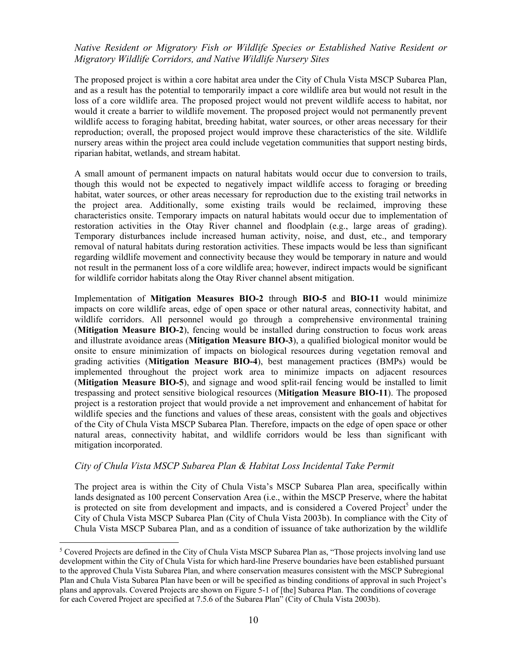# *Native Resident or Migratory Fish or Wildlife Species or Established Native Resident or Migratory Wildlife Corridors, and Native Wildlife Nursery Sites*

The proposed project is within a core habitat area under the City of Chula Vista MSCP Subarea Plan, and as a result has the potential to temporarily impact a core wildlife area but would not result in the loss of a core wildlife area. The proposed project would not prevent wildlife access to habitat, nor would it create a barrier to wildlife movement. The proposed project would not permanently prevent wildlife access to foraging habitat, breeding habitat, water sources, or other areas necessary for their reproduction; overall, the proposed project would improve these characteristics of the site. Wildlife nursery areas within the project area could include vegetation communities that support nesting birds, riparian habitat, wetlands, and stream habitat.

A small amount of permanent impacts on natural habitats would occur due to conversion to trails, though this would not be expected to negatively impact wildlife access to foraging or breeding habitat, water sources, or other areas necessary for reproduction due to the existing trail networks in the project area. Additionally, some existing trails would be reclaimed, improving these characteristics onsite. Temporary impacts on natural habitats would occur due to implementation of restoration activities in the Otay River channel and floodplain (e.g., large areas of grading). Temporary disturbances include increased human activity, noise, and dust, etc., and temporary removal of natural habitats during restoration activities. These impacts would be less than significant regarding wildlife movement and connectivity because they would be temporary in nature and would not result in the permanent loss of a core wildlife area; however, indirect impacts would be significant for wildlife corridor habitats along the Otay River channel absent mitigation.

Implementation of **Mitigation Measures BIO-2** through **BIO-5** and **BIO-11** would minimize impacts on core wildlife areas, edge of open space or other natural areas, connectivity habitat, and wildlife corridors. All personnel would go through a comprehensive environmental training (**Mitigation Measure BIO-2**), fencing would be installed during construction to focus work areas and illustrate avoidance areas (**Mitigation Measure BIO-3**), a qualified biological monitor would be onsite to ensure minimization of impacts on biological resources during vegetation removal and grading activities (**Mitigation Measure BIO-4**), best management practices (BMPs) would be implemented throughout the project work area to minimize impacts on adjacent resources (**Mitigation Measure BIO-5**), and signage and wood split-rail fencing would be installed to limit trespassing and protect sensitive biological resources (**Mitigation Measure BIO-11**). The proposed project is a restoration project that would provide a net improvement and enhancement of habitat for wildlife species and the functions and values of these areas, consistent with the goals and objectives of the City of Chula Vista MSCP Subarea Plan. Therefore, impacts on the edge of open space or other natural areas, connectivity habitat, and wildlife corridors would be less than significant with mitigation incorporated.

#### *City of Chula Vista MSCP Subarea Plan & Habitat Loss Incidental Take Permit*

The project area is within the City of Chula Vista's MSCP Subarea Plan area, specifically within lands designated as 100 percent Conservation Area (i.e., within the MSCP Preserve, where the habitat is protected on site from development and impacts, and is considered a Covered Project<sup>5</sup> under the City of Chula Vista MSCP Subarea Plan (City of Chula Vista 2003b). In compliance with the City of Chula Vista MSCP Subarea Plan, and as a condition of issuance of take authorization by the wildlife

<sup>5</sup> Covered Projects are defined in the City of Chula Vista MSCP Subarea Plan as, "Those projects involving land use development within the City of Chula Vista for which hard-line Preserve boundaries have been established pursuant to the approved Chula Vista Subarea Plan, and where conservation measures consistent with the MSCP Subregional Plan and Chula Vista Subarea Plan have been or will be specified as binding conditions of approval in such Project's plans and approvals. Covered Projects are shown on Figure 5-1 of [the] Subarea Plan. The conditions of coverage for each Covered Project are specified at 7.5.6 of the Subarea Plan" (City of Chula Vista 2003b).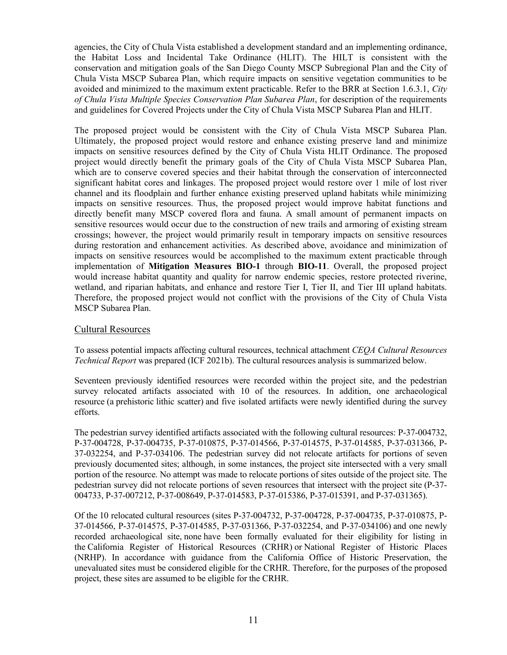agencies, the City of Chula Vista established a development standard and an implementing ordinance, the Habitat Loss and Incidental Take Ordinance (HLIT). The HILT is consistent with the conservation and mitigation goals of the San Diego County MSCP Subregional Plan and the City of Chula Vista MSCP Subarea Plan, which require impacts on sensitive vegetation communities to be avoided and minimized to the maximum extent practicable. Refer to the BRR at Section 1.6.3.1, *City of Chula Vista Multiple Species Conservation Plan Subarea Plan*, for description of the requirements and guidelines for Covered Projects under the City of Chula Vista MSCP Subarea Plan and HLIT.

The proposed project would be consistent with the City of Chula Vista MSCP Subarea Plan. Ultimately, the proposed project would restore and enhance existing preserve land and minimize impacts on sensitive resources defined by the City of Chula Vista HLIT Ordinance. The proposed project would directly benefit the primary goals of the City of Chula Vista MSCP Subarea Plan, which are to conserve covered species and their habitat through the conservation of interconnected significant habitat cores and linkages. The proposed project would restore over 1 mile of lost river channel and its floodplain and further enhance existing preserved upland habitats while minimizing impacts on sensitive resources. Thus, the proposed project would improve habitat functions and directly benefit many MSCP covered flora and fauna. A small amount of permanent impacts on sensitive resources would occur due to the construction of new trails and armoring of existing stream crossings; however, the project would primarily result in temporary impacts on sensitive resources during restoration and enhancement activities. As described above, avoidance and minimization of impacts on sensitive resources would be accomplished to the maximum extent practicable through implementation of **Mitigation Measures BIO-1** through **BIO-11**. Overall, the proposed project would increase habitat quantity and quality for narrow endemic species, restore protected riverine, wetland, and riparian habitats, and enhance and restore Tier I, Tier II, and Tier III upland habitats. Therefore, the proposed project would not conflict with the provisions of the City of Chula Vista MSCP Subarea Plan.

## Cultural Resources

To assess potential impacts affecting cultural resources, technical attachment *CEQA Cultural Resources Technical Report* was prepared (ICF 2021b). The cultural resources analysis is summarized below.

Seventeen previously identified resources were recorded within the project site, and the pedestrian survey relocated artifacts associated with 10 of the resources. In addition, one archaeological resource (a prehistoric lithic scatter) and five isolated artifacts were newly identified during the survey efforts.

The pedestrian survey identified artifacts associated with the following cultural resources: P-37-004732, P-37-004728, P-37-004735, P-37-010875, P-37-014566, P-37-014575, P-37-014585, P-37-031366, P-37-032254, and P-37-034106. The pedestrian survey did not relocate artifacts for portions of seven previously documented sites; although, in some instances, the project site intersected with a very small portion of the resource. No attempt was made to relocate portions of sites outside of the project site. The pedestrian survey did not relocate portions of seven resources that intersect with the project site (P-37- 004733, P-37-007212, P-37-008649, P-37-014583, P-37-015386, P-37-015391, and P-37-031365).

Of the 10 relocated cultural resources (sites P-37-004732, P-37-004728, P-37-004735, P-37-010875, P-37-014566, P-37-014575, P-37-014585, P-37-031366, P-37-032254, and P-37-034106) and one newly recorded archaeological site, none have been formally evaluated for their eligibility for listing in the California Register of Historical Resources (CRHR) or National Register of Historic Places (NRHP). In accordance with guidance from the California Office of Historic Preservation, the unevaluated sites must be considered eligible for the CRHR. Therefore, for the purposes of the proposed project, these sites are assumed to be eligible for the CRHR.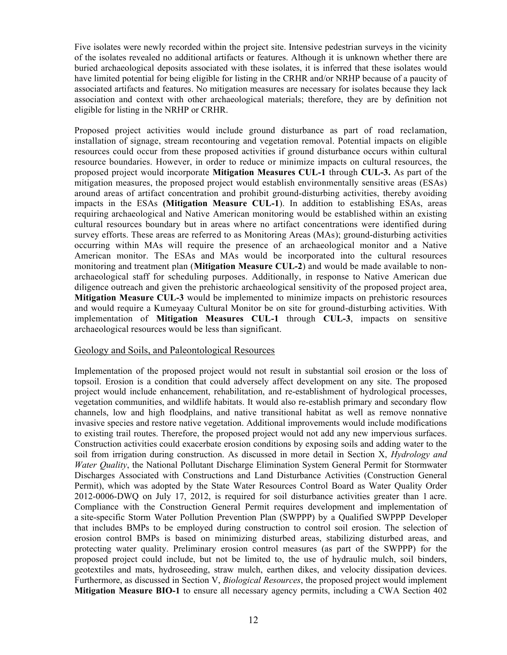Five isolates were newly recorded within the project site. Intensive pedestrian surveys in the vicinity of the isolates revealed no additional artifacts or features. Although it is unknown whether there are buried archaeological deposits associated with these isolates, it is inferred that these isolates would have limited potential for being eligible for listing in the CRHR and/or NRHP because of a paucity of associated artifacts and features. No mitigation measures are necessary for isolates because they lack association and context with other archaeological materials; therefore, they are by definition not eligible for listing in the NRHP or CRHR.

Proposed project activities would include ground disturbance as part of road reclamation, installation of signage, stream recontouring and vegetation removal. Potential impacts on eligible resources could occur from these proposed activities if ground disturbance occurs within cultural resource boundaries. However, in order to reduce or minimize impacts on cultural resources, the proposed project would incorporate **Mitigation Measures CUL-1** through **CUL-3.** As part of the mitigation measures, the proposed project would establish environmentally sensitive areas (ESAs) around areas of artifact concentration and prohibit ground-disturbing activities, thereby avoiding impacts in the ESAs **(Mitigation Measure CUL-1**). In addition to establishing ESAs, areas requiring archaeological and Native American monitoring would be established within an existing cultural resources boundary but in areas where no artifact concentrations were identified during survey efforts. These areas are referred to as Monitoring Areas (MAs); ground-disturbing activities occurring within MAs will require the presence of an archaeological monitor and a Native American monitor. The ESAs and MAs would be incorporated into the cultural resources monitoring and treatment plan (**Mitigation Measure CUL-2**) and would be made available to nonarchaeological staff for scheduling purposes. Additionally, in response to Native American due diligence outreach and given the prehistoric archaeological sensitivity of the proposed project area, **Mitigation Measure CUL-3** would be implemented to minimize impacts on prehistoric resources and would require a Kumeyaay Cultural Monitor be on site for ground-disturbing activities. With implementation of **Mitigation Measures CUL-1** through **CUL-3**, impacts on sensitive archaeological resources would be less than significant.

#### Geology and Soils, and Paleontological Resources

Implementation of the proposed project would not result in substantial soil erosion or the loss of topsoil. Erosion is a condition that could adversely affect development on any site. The proposed project would include enhancement, rehabilitation, and re-establishment of hydrological processes, vegetation communities, and wildlife habitats. It would also re-establish primary and secondary flow channels, low and high floodplains, and native transitional habitat as well as remove nonnative invasive species and restore native vegetation. Additional improvements would include modifications to existing trail routes. Therefore, the proposed project would not add any new impervious surfaces. Construction activities could exacerbate erosion conditions by exposing soils and adding water to the soil from irrigation during construction. As discussed in more detail in Section X, *Hydrology and Water Quality*, the National Pollutant Discharge Elimination System General Permit for Stormwater Discharges Associated with Constructions and Land Disturbance Activities (Construction General Permit), which was adopted by the State Water Resources Control Board as Water Quality Order 2012-0006-DWQ on July 17, 2012, is required for soil disturbance activities greater than 1 acre. Compliance with the Construction General Permit requires development and implementation of a site-specific Storm Water Pollution Prevention Plan (SWPPP) by a Qualified SWPPP Developer that includes BMPs to be employed during construction to control soil erosion. The selection of erosion control BMPs is based on minimizing disturbed areas, stabilizing disturbed areas, and protecting water quality. Preliminary erosion control measures (as part of the SWPPP) for the proposed project could include, but not be limited to, the use of hydraulic mulch, soil binders, geotextiles and mats, hydroseeding, straw mulch, earthen dikes, and velocity dissipation devices. Furthermore, as discussed in Section V, *Biological Resources*, the proposed project would implement **Mitigation Measure BIO-1** to ensure all necessary agency permits, including a CWA Section 402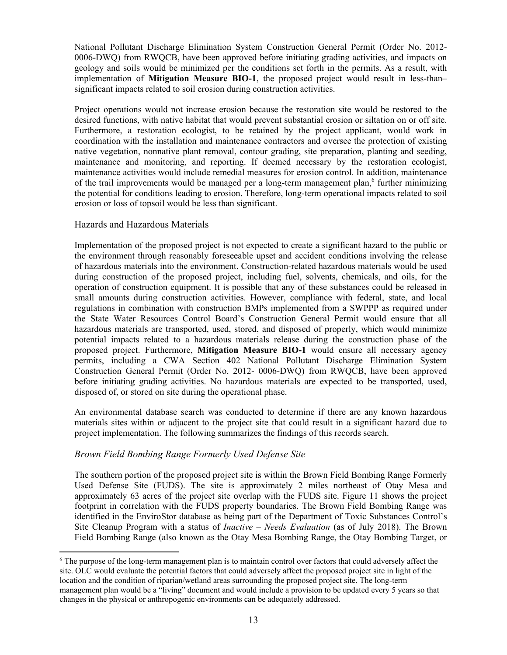National Pollutant Discharge Elimination System Construction General Permit (Order No. 2012- 0006-DWQ) from RWQCB, have been approved before initiating grading activities, and impacts on geology and soils would be minimized per the conditions set forth in the permits. As a result, with implementation of **Mitigation Measure BIO-1**, the proposed project would result in less-than– significant impacts related to soil erosion during construction activities.

Project operations would not increase erosion because the restoration site would be restored to the desired functions, with native habitat that would prevent substantial erosion or siltation on or off site. Furthermore, a restoration ecologist, to be retained by the project applicant, would work in coordination with the installation and maintenance contractors and oversee the protection of existing native vegetation, nonnative plant removal, contour grading, site preparation, planting and seeding, maintenance and monitoring, and reporting. If deemed necessary by the restoration ecologist, maintenance activities would include remedial measures for erosion control. In addition, maintenance of the trail improvements would be managed per a long-term management plan,<sup>6</sup> further minimizing the potential for conditions leading to erosion. Therefore, long-term operational impacts related to soil erosion or loss of topsoil would be less than significant.

## Hazards and Hazardous Materials

Implementation of the proposed project is not expected to create a significant hazard to the public or the environment through reasonably foreseeable upset and accident conditions involving the release of hazardous materials into the environment. Construction-related hazardous materials would be used during construction of the proposed project, including fuel, solvents, chemicals, and oils, for the operation of construction equipment. It is possible that any of these substances could be released in small amounts during construction activities. However, compliance with federal, state, and local regulations in combination with construction BMPs implemented from a SWPPP as required under the State Water Resources Control Board's Construction General Permit would ensure that all hazardous materials are transported, used, stored, and disposed of properly, which would minimize potential impacts related to a hazardous materials release during the construction phase of the proposed project. Furthermore, **Mitigation Measure BIO-1** would ensure all necessary agency permits, including a CWA Section 402 National Pollutant Discharge Elimination System Construction General Permit (Order No. 2012- 0006-DWQ) from RWQCB, have been approved before initiating grading activities. No hazardous materials are expected to be transported, used, disposed of, or stored on site during the operational phase.

An environmental database search was conducted to determine if there are any known hazardous materials sites within or adjacent to the project site that could result in a significant hazard due to project implementation. The following summarizes the findings of this records search.

## *Brown Field Bombing Range Formerly Used Defense Site*

The southern portion of the proposed project site is within the Brown Field Bombing Range Formerly Used Defense Site (FUDS). The site is approximately 2 miles northeast of Otay Mesa and approximately 63 acres of the project site overlap with the FUDS site. Figure 11 shows the project footprint in correlation with the FUDS property boundaries. The Brown Field Bombing Range was identified in the EnviroStor database as being part of the Department of Toxic Substances Control's Site Cleanup Program with a status of *Inactive – Needs Evaluation* (as of July 2018). The Brown Field Bombing Range (also known as the Otay Mesa Bombing Range, the Otay Bombing Target, or

<sup>6</sup> The purpose of the long-term management plan is to maintain control over factors that could adversely affect the site. OLC would evaluate the potential factors that could adversely affect the proposed project site in light of the location and the condition of riparian/wetland areas surrounding the proposed project site. The long-term management plan would be a "living" document and would include a provision to be updated every 5 years so that changes in the physical or anthropogenic environments can be adequately addressed.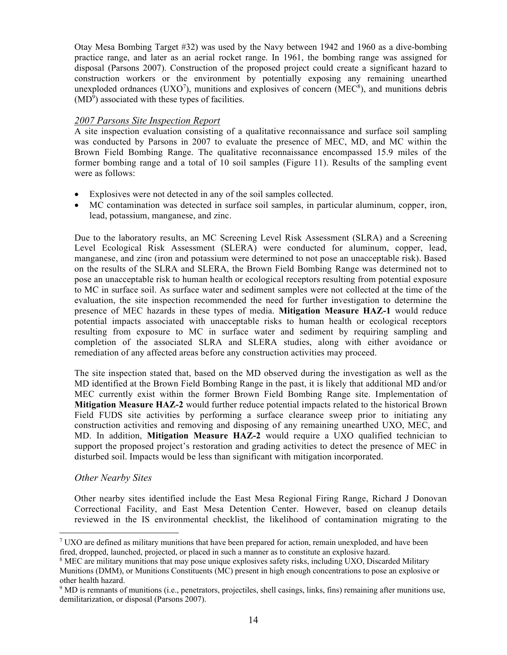Otay Mesa Bombing Target #32) was used by the Navy between 1942 and 1960 as a dive-bombing practice range, and later as an aerial rocket range. In 1961, the bombing range was assigned for disposal (Parsons 2007). Construction of the proposed project could create a significant hazard to construction workers or the environment by potentially exposing any remaining unearthed unexploded ordnances (UXO<sup>7</sup>), munitions and explosives of concern (MEC<sup>8</sup>), and munitions debris  $(MD<sup>9</sup>)$  associated with these types of facilities.

# *2007 Parsons Site Inspection Report*

A site inspection evaluation consisting of a qualitative reconnaissance and surface soil sampling was conducted by Parsons in 2007 to evaluate the presence of MEC, MD, and MC within the Brown Field Bombing Range. The qualitative reconnaissance encompassed 15.9 miles of the former bombing range and a total of 10 soil samples (Figure 11). Results of the sampling event were as follows:

- Explosives were not detected in any of the soil samples collected.
- MC contamination was detected in surface soil samples, in particular aluminum, copper, iron, lead, potassium, manganese, and zinc.

Due to the laboratory results, an MC Screening Level Risk Assessment (SLRA) and a Screening Level Ecological Risk Assessment (SLERA) were conducted for aluminum, copper, lead, manganese, and zinc (iron and potassium were determined to not pose an unacceptable risk). Based on the results of the SLRA and SLERA, the Brown Field Bombing Range was determined not to pose an unacceptable risk to human health or ecological receptors resulting from potential exposure to MC in surface soil. As surface water and sediment samples were not collected at the time of the evaluation, the site inspection recommended the need for further investigation to determine the presence of MEC hazards in these types of media. **Mitigation Measure HAZ-1** would reduce potential impacts associated with unacceptable risks to human health or ecological receptors resulting from exposure to MC in surface water and sediment by requiring sampling and completion of the associated SLRA and SLERA studies, along with either avoidance or remediation of any affected areas before any construction activities may proceed.

The site inspection stated that, based on the MD observed during the investigation as well as the MD identified at the Brown Field Bombing Range in the past, it is likely that additional MD and/or MEC currently exist within the former Brown Field Bombing Range site. Implementation of **Mitigation Measure HAZ-2** would further reduce potential impacts related to the historical Brown Field FUDS site activities by performing a surface clearance sweep prior to initiating any construction activities and removing and disposing of any remaining unearthed UXO, MEC, and MD. In addition, **Mitigation Measure HAZ-2** would require a UXO qualified technician to support the proposed project's restoration and grading activities to detect the presence of MEC in disturbed soil. Impacts would be less than significant with mitigation incorporated.

## *Other Nearby Sites*

Other nearby sites identified include the East Mesa Regional Firing Range, Richard J Donovan Correctional Facility, and East Mesa Detention Center. However, based on cleanup details reviewed in the IS environmental checklist, the likelihood of contamination migrating to the

 $7 \text{UXO}$  are defined as military munitions that have been prepared for action, remain unexploded, and have been fired, dropped, launched, projected, or placed in such a manner as to constitute an explosive hazard.

<sup>8</sup> MEC are military munitions that may pose unique explosives safety risks, including UXO, Discarded Military Munitions (DMM), or Munitions Constituents (MC) present in high enough concentrations to pose an explosive or other health hazard.

<sup>9</sup> MD is remnants of munitions (i.e., penetrators, projectiles, shell casings, links, fins) remaining after munitions use, demilitarization, or disposal (Parsons 2007).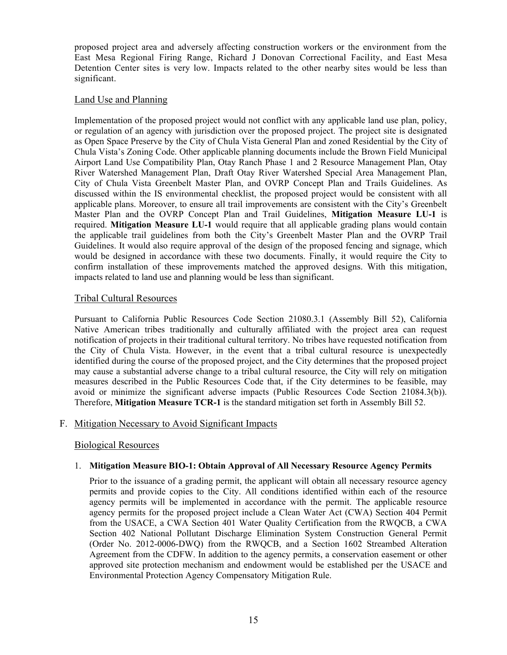proposed project area and adversely affecting construction workers or the environment from the East Mesa Regional Firing Range, Richard J Donovan Correctional Facility, and East Mesa Detention Center sites is very low. Impacts related to the other nearby sites would be less than significant.

## Land Use and Planning

Implementation of the proposed project would not conflict with any applicable land use plan, policy, or regulation of an agency with jurisdiction over the proposed project. The project site is designated as Open Space Preserve by the City of Chula Vista General Plan and zoned Residential by the City of Chula Vista's Zoning Code. Other applicable planning documents include the Brown Field Municipal Airport Land Use Compatibility Plan, Otay Ranch Phase 1 and 2 Resource Management Plan, Otay River Watershed Management Plan, Draft Otay River Watershed Special Area Management Plan, City of Chula Vista Greenbelt Master Plan, and OVRP Concept Plan and Trails Guidelines. As discussed within the IS environmental checklist, the proposed project would be consistent with all applicable plans. Moreover, to ensure all trail improvements are consistent with the City's Greenbelt Master Plan and the OVRP Concept Plan and Trail Guidelines, **Mitigation Measure LU-1** is required. **Mitigation Measure LU-1** would require that all applicable grading plans would contain the applicable trail guidelines from both the City's Greenbelt Master Plan and the OVRP Trail Guidelines. It would also require approval of the design of the proposed fencing and signage, which would be designed in accordance with these two documents. Finally, it would require the City to confirm installation of these improvements matched the approved designs. With this mitigation, impacts related to land use and planning would be less than significant.

## Tribal Cultural Resources

Pursuant to California Public Resources Code Section 21080.3.1 (Assembly Bill 52), California Native American tribes traditionally and culturally affiliated with the project area can request notification of projects in their traditional cultural territory. No tribes have requested notification from the City of Chula Vista. However, in the event that a tribal cultural resource is unexpectedly identified during the course of the proposed project, and the City determines that the proposed project may cause a substantial adverse change to a tribal cultural resource, the City will rely on mitigation measures described in the Public Resources Code that, if the City determines to be feasible, may avoid or minimize the significant adverse impacts (Public Resources Code Section 21084.3(b)). Therefore, **Mitigation Measure TCR-1** is the standard mitigation set forth in Assembly Bill 52.

## F. Mitigation Necessary to Avoid Significant Impacts

## Biological Resources

## 1. **Mitigation Measure BIO-1: Obtain Approval of All Necessary Resource Agency Permits**

Prior to the issuance of a grading permit, the applicant will obtain all necessary resource agency permits and provide copies to the City. All conditions identified within each of the resource agency permits will be implemented in accordance with the permit. The applicable resource agency permits for the proposed project include a Clean Water Act (CWA) Section 404 Permit from the USACE, a CWA Section 401 Water Quality Certification from the RWQCB, a CWA Section 402 National Pollutant Discharge Elimination System Construction General Permit (Order No. 2012-0006-DWQ) from the RWQCB, and a Section 1602 Streambed Alteration Agreement from the CDFW. In addition to the agency permits, a conservation easement or other approved site protection mechanism and endowment would be established per the USACE and Environmental Protection Agency Compensatory Mitigation Rule.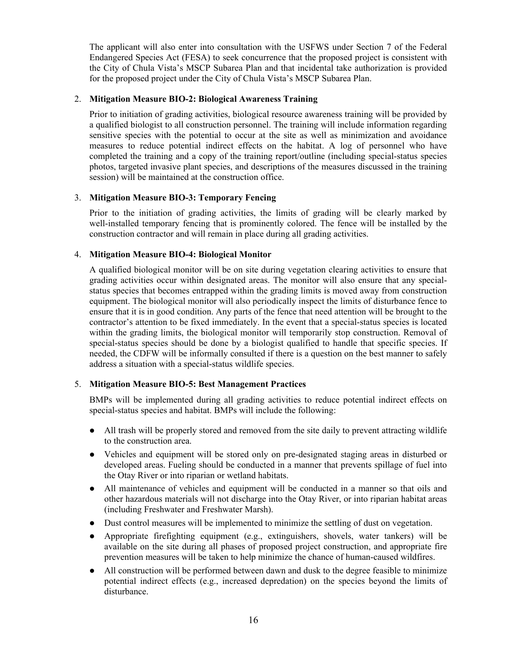The applicant will also enter into consultation with the USFWS under Section 7 of the Federal Endangered Species Act (FESA) to seek concurrence that the proposed project is consistent with the City of Chula Vista's MSCP Subarea Plan and that incidental take authorization is provided for the proposed project under the City of Chula Vista's MSCP Subarea Plan.

#### 2. **Mitigation Measure BIO-2: Biological Awareness Training**

Prior to initiation of grading activities, biological resource awareness training will be provided by a qualified biologist to all construction personnel. The training will include information regarding sensitive species with the potential to occur at the site as well as minimization and avoidance measures to reduce potential indirect effects on the habitat. A log of personnel who have completed the training and a copy of the training report/outline (including special-status species photos, targeted invasive plant species, and descriptions of the measures discussed in the training session) will be maintained at the construction office.

#### 3. **Mitigation Measure BIO-3: Temporary Fencing**

Prior to the initiation of grading activities, the limits of grading will be clearly marked by well-installed temporary fencing that is prominently colored. The fence will be installed by the construction contractor and will remain in place during all grading activities.

## 4. **Mitigation Measure BIO-4: Biological Monitor**

A qualified biological monitor will be on site during vegetation clearing activities to ensure that grading activities occur within designated areas. The monitor will also ensure that any specialstatus species that becomes entrapped within the grading limits is moved away from construction equipment. The biological monitor will also periodically inspect the limits of disturbance fence to ensure that it is in good condition. Any parts of the fence that need attention will be brought to the contractor's attention to be fixed immediately. In the event that a special-status species is located within the grading limits, the biological monitor will temporarily stop construction. Removal of special-status species should be done by a biologist qualified to handle that specific species. If needed, the CDFW will be informally consulted if there is a question on the best manner to safely address a situation with a special-status wildlife species.

## 5. **Mitigation Measure BIO-5: Best Management Practices**

BMPs will be implemented during all grading activities to reduce potential indirect effects on special-status species and habitat. BMPs will include the following:

- ⚫ All trash will be properly stored and removed from the site daily to prevent attracting wildlife to the construction area.
- ⚫ Vehicles and equipment will be stored only on pre-designated staging areas in disturbed or developed areas. Fueling should be conducted in a manner that prevents spillage of fuel into the Otay River or into riparian or wetland habitats.
- ⚫ All maintenance of vehicles and equipment will be conducted in a manner so that oils and other hazardous materials will not discharge into the Otay River, or into riparian habitat areas (including Freshwater and Freshwater Marsh).
- ⚫ Dust control measures will be implemented to minimize the settling of dust on vegetation.
- ⚫ Appropriate firefighting equipment (e.g., extinguishers, shovels, water tankers) will be available on the site during all phases of proposed project construction, and appropriate fire prevention measures will be taken to help minimize the chance of human-caused wildfires.
- ⚫ All construction will be performed between dawn and dusk to the degree feasible to minimize potential indirect effects (e.g., increased depredation) on the species beyond the limits of disturbance.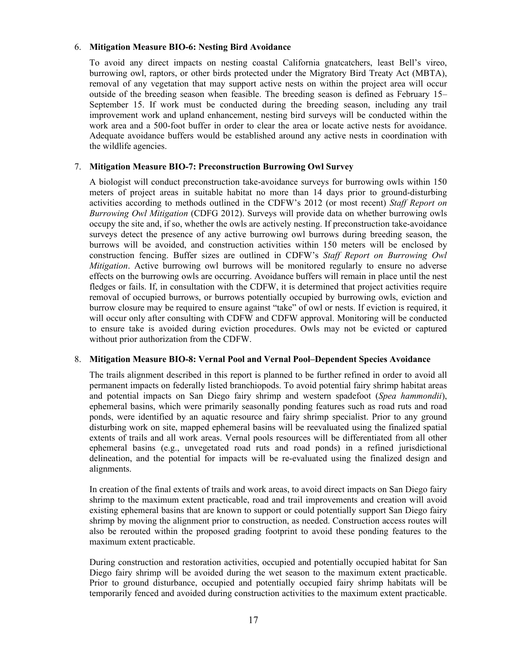#### 6. **Mitigation Measure BIO-6: Nesting Bird Avoidance**

To avoid any direct impacts on nesting coastal California gnatcatchers, least Bell's vireo, burrowing owl, raptors, or other birds protected under the Migratory Bird Treaty Act (MBTA), removal of any vegetation that may support active nests on within the project area will occur outside of the breeding season when feasible. The breeding season is defined as February 15– September 15. If work must be conducted during the breeding season, including any trail improvement work and upland enhancement, nesting bird surveys will be conducted within the work area and a 500-foot buffer in order to clear the area or locate active nests for avoidance. Adequate avoidance buffers would be established around any active nests in coordination with the wildlife agencies.

#### 7. **Mitigation Measure BIO-7: Preconstruction Burrowing Owl Survey**

A biologist will conduct preconstruction take-avoidance surveys for burrowing owls within 150 meters of project areas in suitable habitat no more than 14 days prior to ground-disturbing activities according to methods outlined in the CDFW's 2012 (or most recent) *Staff Report on Burrowing Owl Mitigation* (CDFG 2012). Surveys will provide data on whether burrowing owls occupy the site and, if so, whether the owls are actively nesting. If preconstruction take-avoidance surveys detect the presence of any active burrowing owl burrows during breeding season, the burrows will be avoided, and construction activities within 150 meters will be enclosed by construction fencing. Buffer sizes are outlined in CDFW's *Staff Report on Burrowing Owl Mitigation*. Active burrowing owl burrows will be monitored regularly to ensure no adverse effects on the burrowing owls are occurring. Avoidance buffers will remain in place until the nest fledges or fails. If, in consultation with the CDFW, it is determined that project activities require removal of occupied burrows, or burrows potentially occupied by burrowing owls, eviction and burrow closure may be required to ensure against "take" of owl or nests. If eviction is required, it will occur only after consulting with CDFW and CDFW approval. Monitoring will be conducted to ensure take is avoided during eviction procedures. Owls may not be evicted or captured without prior authorization from the CDFW.

#### 8. **Mitigation Measure BIO-8: Vernal Pool and Vernal Pool–Dependent Species Avoidance**

The trails alignment described in this report is planned to be further refined in order to avoid all permanent impacts on federally listed branchiopods. To avoid potential fairy shrimp habitat areas and potential impacts on San Diego fairy shrimp and western spadefoot (*Spea hammondii*), ephemeral basins, which were primarily seasonally ponding features such as road ruts and road ponds, were identified by an aquatic resource and fairy shrimp specialist. Prior to any ground disturbing work on site, mapped ephemeral basins will be reevaluated using the finalized spatial extents of trails and all work areas. Vernal pools resources will be differentiated from all other ephemeral basins (e.g., unvegetated road ruts and road ponds) in a refined jurisdictional delineation, and the potential for impacts will be re-evaluated using the finalized design and alignments.

In creation of the final extents of trails and work areas, to avoid direct impacts on San Diego fairy shrimp to the maximum extent practicable, road and trail improvements and creation will avoid existing ephemeral basins that are known to support or could potentially support San Diego fairy shrimp by moving the alignment prior to construction, as needed. Construction access routes will also be rerouted within the proposed grading footprint to avoid these ponding features to the maximum extent practicable.

During construction and restoration activities, occupied and potentially occupied habitat for San Diego fairy shrimp will be avoided during the wet season to the maximum extent practicable. Prior to ground disturbance, occupied and potentially occupied fairy shrimp habitats will be temporarily fenced and avoided during construction activities to the maximum extent practicable.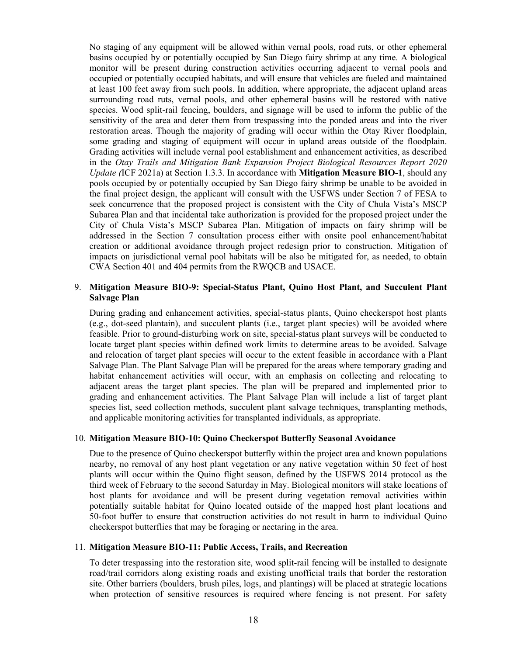No staging of any equipment will be allowed within vernal pools, road ruts, or other ephemeral basins occupied by or potentially occupied by San Diego fairy shrimp at any time. A biological monitor will be present during construction activities occurring adjacent to vernal pools and occupied or potentially occupied habitats, and will ensure that vehicles are fueled and maintained at least 100 feet away from such pools. In addition, where appropriate, the adjacent upland areas surrounding road ruts, vernal pools, and other ephemeral basins will be restored with native species. Wood split-rail fencing, boulders, and signage will be used to inform the public of the sensitivity of the area and deter them from trespassing into the ponded areas and into the river restoration areas. Though the majority of grading will occur within the Otay River floodplain, some grading and staging of equipment will occur in upland areas outside of the floodplain. Grading activities will include vernal pool establishment and enhancement activities, as described in the *Otay Trails and Mitigation Bank Expansion Project Biological Resources Report 2020 Update (*ICF 2021a) at Section 1.3.3. In accordance with **Mitigation Measure BIO-1**, should any pools occupied by or potentially occupied by San Diego fairy shrimp be unable to be avoided in the final project design, the applicant will consult with the USFWS under Section 7 of FESA to seek concurrence that the proposed project is consistent with the City of Chula Vista's MSCP Subarea Plan and that incidental take authorization is provided for the proposed project under the City of Chula Vista's MSCP Subarea Plan. Mitigation of impacts on fairy shrimp will be addressed in the Section 7 consultation process either with onsite pool enhancement/habitat creation or additional avoidance through project redesign prior to construction. Mitigation of impacts on jurisdictional vernal pool habitats will be also be mitigated for, as needed, to obtain CWA Section 401 and 404 permits from the RWQCB and USACE.

#### 9. **Mitigation Measure BIO-9: Special-Status Plant, Quino Host Plant, and Succulent Plant Salvage Plan**

During grading and enhancement activities, special-status plants, Quino checkerspot host plants (e.g., dot-seed plantain), and succulent plants (i.e., target plant species) will be avoided where feasible. Prior to ground-disturbing work on site, special-status plant surveys will be conducted to locate target plant species within defined work limits to determine areas to be avoided. Salvage and relocation of target plant species will occur to the extent feasible in accordance with a Plant Salvage Plan. The Plant Salvage Plan will be prepared for the areas where temporary grading and habitat enhancement activities will occur, with an emphasis on collecting and relocating to adjacent areas the target plant species. The plan will be prepared and implemented prior to grading and enhancement activities. The Plant Salvage Plan will include a list of target plant species list, seed collection methods, succulent plant salvage techniques, transplanting methods, and applicable monitoring activities for transplanted individuals, as appropriate.

#### 10. **Mitigation Measure BIO-10: Quino Checkerspot Butterfly Seasonal Avoidance**

Due to the presence of Quino checkerspot butterfly within the project area and known populations nearby, no removal of any host plant vegetation or any native vegetation within 50 feet of host plants will occur within the Quino flight season, defined by the USFWS 2014 protocol as the third week of February to the second Saturday in May. Biological monitors will stake locations of host plants for avoidance and will be present during vegetation removal activities within potentially suitable habitat for Quino located outside of the mapped host plant locations and 50-foot buffer to ensure that construction activities do not result in harm to individual Quino checkerspot butterflies that may be foraging or nectaring in the area.

#### 11. **Mitigation Measure BIO-11: Public Access, Trails, and Recreation**

To deter trespassing into the restoration site, wood split-rail fencing will be installed to designate road/trail corridors along existing roads and existing unofficial trails that border the restoration site. Other barriers (boulders, brush piles, logs, and plantings) will be placed at strategic locations when protection of sensitive resources is required where fencing is not present. For safety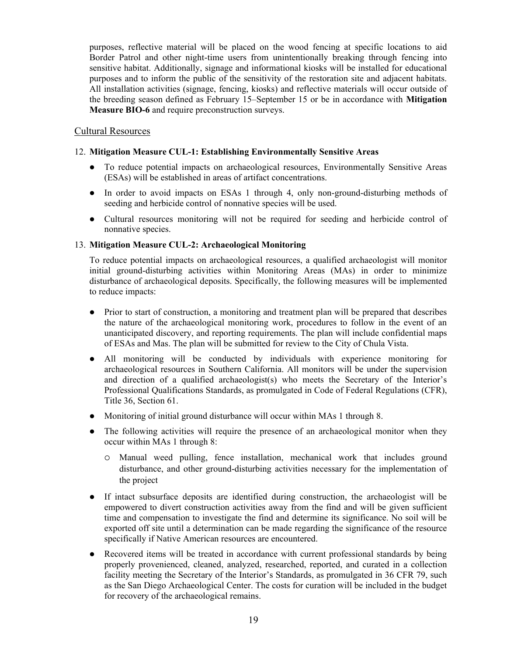purposes, reflective material will be placed on the wood fencing at specific locations to aid Border Patrol and other night-time users from unintentionally breaking through fencing into sensitive habitat. Additionally, signage and informational kiosks will be installed for educational purposes and to inform the public of the sensitivity of the restoration site and adjacent habitats. All installation activities (signage, fencing, kiosks) and reflective materials will occur outside of the breeding season defined as February 15–September 15 or be in accordance with **Mitigation Measure BIO-6** and require preconstruction surveys.

## Cultural Resources

#### 12. **Mitigation Measure CUL-1: Establishing Environmentally Sensitive Areas**

- ⚫ To reduce potential impacts on archaeological resources, Environmentally Sensitive Areas (ESAs) will be established in areas of artifact concentrations.
- In order to avoid impacts on ESAs 1 through 4, only non-ground-disturbing methods of seeding and herbicide control of nonnative species will be used.
- ⚫ Cultural resources monitoring will not be required for seeding and herbicide control of nonnative species.

#### 13. **Mitigation Measure CUL-2: Archaeological Monitoring**

To reduce potential impacts on archaeological resources, a qualified archaeologist will monitor initial ground-disturbing activities within Monitoring Areas (MAs) in order to minimize disturbance of archaeological deposits. Specifically, the following measures will be implemented to reduce impacts:

- Prior to start of construction, a monitoring and treatment plan will be prepared that describes the nature of the archaeological monitoring work, procedures to follow in the event of an unanticipated discovery, and reporting requirements. The plan will include confidential maps of ESAs and Mas. The plan will be submitted for review to the City of Chula Vista.
- ⚫ All monitoring will be conducted by individuals with experience monitoring for archaeological resources in Southern California. All monitors will be under the supervision and direction of a qualified archaeologist(s) who meets the Secretary of the Interior's Professional Qualifications Standards, as promulgated in Code of Federal Regulations (CFR), Title 36, Section 61.
- ⚫ Monitoring of initial ground disturbance will occur within MAs 1 through 8.
- The following activities will require the presence of an archaeological monitor when they occur within MAs 1 through 8:
	- Manual weed pulling, fence installation, mechanical work that includes ground disturbance, and other ground-disturbing activities necessary for the implementation of the project
- ⚫ If intact subsurface deposits are identified during construction, the archaeologist will be empowered to divert construction activities away from the find and will be given sufficient time and compensation to investigate the find and determine its significance. No soil will be exported off site until a determination can be made regarding the significance of the resource specifically if Native American resources are encountered.
- ⚫ Recovered items will be treated in accordance with current professional standards by being properly provenienced, cleaned, analyzed, researched, reported, and curated in a collection facility meeting the Secretary of the Interior's Standards, as promulgated in 36 CFR 79, such as the San Diego Archaeological Center. The costs for curation will be included in the budget for recovery of the archaeological remains.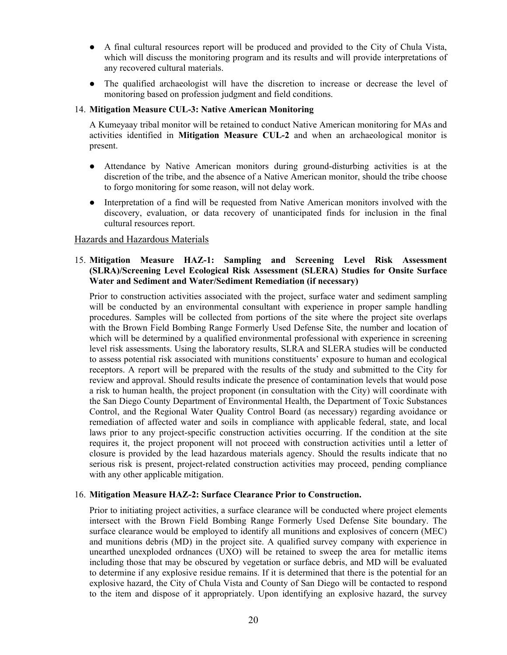- ⚫ A final cultural resources report will be produced and provided to the City of Chula Vista, which will discuss the monitoring program and its results and will provide interpretations of any recovered cultural materials.
- ⚫ The qualified archaeologist will have the discretion to increase or decrease the level of monitoring based on profession judgment and field conditions.

#### 14. **Mitigation Measure CUL-3: Native American Monitoring**

A Kumeyaay tribal monitor will be retained to conduct Native American monitoring for MAs and activities identified in **Mitigation Measure CUL-2** and when an archaeological monitor is present.

- ⚫ Attendance by Native American monitors during ground-disturbing activities is at the discretion of the tribe, and the absence of a Native American monitor, should the tribe choose to forgo monitoring for some reason, will not delay work.
- ⚫ Interpretation of a find will be requested from Native American monitors involved with the discovery, evaluation, or data recovery of unanticipated finds for inclusion in the final cultural resources report.

#### Hazards and Hazardous Materials

#### 15. **Mitigation Measure HAZ-1: Sampling and Screening Level Risk Assessment (SLRA)/Screening Level Ecological Risk Assessment (SLERA) Studies for Onsite Surface Water and Sediment and Water/Sediment Remediation (if necessary)**

Prior to construction activities associated with the project, surface water and sediment sampling will be conducted by an environmental consultant with experience in proper sample handling procedures. Samples will be collected from portions of the site where the project site overlaps with the Brown Field Bombing Range Formerly Used Defense Site, the number and location of which will be determined by a qualified environmental professional with experience in screening level risk assessments. Using the laboratory results, SLRA and SLERA studies will be conducted to assess potential risk associated with munitions constituents' exposure to human and ecological receptors. A report will be prepared with the results of the study and submitted to the City for review and approval. Should results indicate the presence of contamination levels that would pose a risk to human health, the project proponent (in consultation with the City) will coordinate with the San Diego County Department of Environmental Health, the Department of Toxic Substances Control, and the Regional Water Quality Control Board (as necessary) regarding avoidance or remediation of affected water and soils in compliance with applicable federal, state, and local laws prior to any project-specific construction activities occurring. If the condition at the site requires it, the project proponent will not proceed with construction activities until a letter of closure is provided by the lead hazardous materials agency. Should the results indicate that no serious risk is present, project-related construction activities may proceed, pending compliance with any other applicable mitigation.

#### 16. **Mitigation Measure HAZ-2: Surface Clearance Prior to Construction.**

Prior to initiating project activities, a surface clearance will be conducted where project elements intersect with the Brown Field Bombing Range Formerly Used Defense Site boundary. The surface clearance would be employed to identify all munitions and explosives of concern (MEC) and munitions debris (MD) in the project site. A qualified survey company with experience in unearthed unexploded ordnances (UXO) will be retained to sweep the area for metallic items including those that may be obscured by vegetation or surface debris, and MD will be evaluated to determine if any explosive residue remains. If it is determined that there is the potential for an explosive hazard, the City of Chula Vista and County of San Diego will be contacted to respond to the item and dispose of it appropriately. Upon identifying an explosive hazard, the survey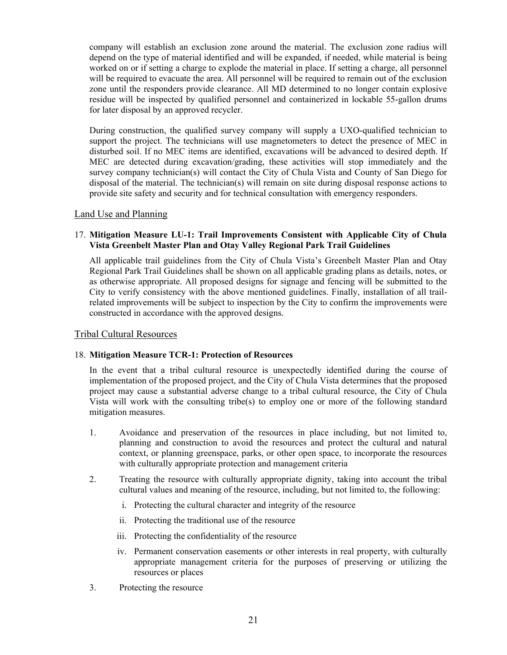company will establish an exclusion zone around the material. The exclusion zone radius will depend on the type of material identified and will be expanded, if needed, while material is being worked on or if setting a charge to explode the material in place. If setting a charge, all personnel will be required to evacuate the area. All personnel will be required to remain out of the exclusion zone until the responders provide clearance. All MD determined to no longer contain explosive residue will be inspected by qualified personnel and containerized in lockable 55-gallon drums for later disposal by an approved recycler.

During construction, the qualified survey company will supply a UXO-qualified technician to support the project. The technicians will use magnetometers to detect the presence of MEC in disturbed soil. If no MEC items are identified, excavations will be advanced to desired depth. If MEC are detected during excavation/grading, these activities will stop immediately and the survey company technician(s) will contact the City of Chula Vista and County of San Diego for disposal of the material. The technician(s) will remain on site during disposal response actions to provide site safety and security and for technical consultation with emergency responders.

## Land Use and Planning

#### 17. **Mitigation Measure LU-1: Trail Improvements Consistent with Applicable City of Chula Vista Greenbelt Master Plan and Otay Valley Regional Park Trail Guidelines**

All applicable trail guidelines from the City of Chula Vista's Greenbelt Master Plan and Otay Regional Park Trail Guidelines shall be shown on all applicable grading plans as details, notes, or as otherwise appropriate. All proposed designs for signage and fencing will be submitted to the City to verify consistency with the above mentioned guidelines. Finally, installation of all trailrelated improvements will be subject to inspection by the City to confirm the improvements were constructed in accordance with the approved designs.

#### Tribal Cultural Resources

#### 18. **Mitigation Measure TCR-1: Protection of Resources**

In the event that a tribal cultural resource is unexpectedly identified during the course of implementation of the proposed project, and the City of Chula Vista determines that the proposed project may cause a substantial adverse change to a tribal cultural resource, the City of Chula Vista will work with the consulting tribe(s) to employ one or more of the following standard mitigation measures.

- 1. Avoidance and preservation of the resources in place including, but not limited to, planning and construction to avoid the resources and protect the cultural and natural context, or planning greenspace, parks, or other open space, to incorporate the resources with culturally appropriate protection and management criteria
- 2. Treating the resource with culturally appropriate dignity, taking into account the tribal cultural values and meaning of the resource, including, but not limited to, the following:
	- i. Protecting the cultural character and integrity of the resource
	- ii. Protecting the traditional use of the resource
	- iii. Protecting the confidentiality of the resource
	- iv. Permanent conservation easements or other interests in real property, with culturally appropriate management criteria for the purposes of preserving or utilizing the resources or places
- 3. Protecting the resource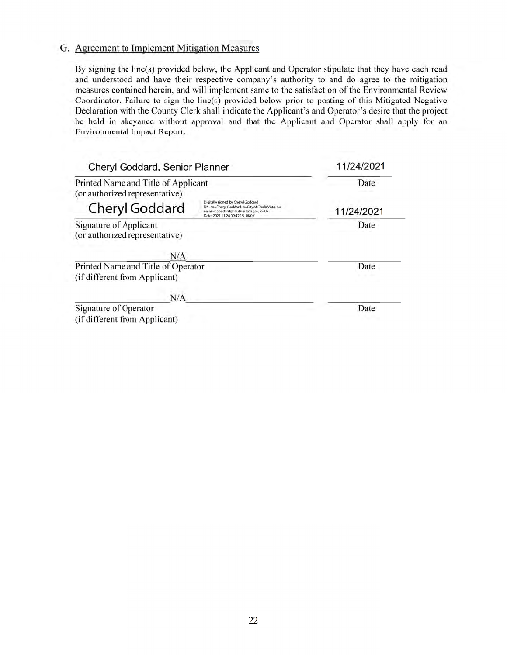## G. Agreement to Implement Mitigation Measures

By signing the line(s) provided below, the Applicant and Operator stipulate that they have each read and understood and have their respective company's authority to and do agree to the mitigation measures contained herein, and will implement same to the satisfaction of the Environmental Review Coordinator. Failure to sign the line(s) provided below prior to posting of this Mitigated Negative Declaration with the County Clerk shall indicate the Applicant's and Operator's desire that the project be held in abeyance without approval and that the Applicant and Operator shall apply for an Environmental Impact Report.

| Cheryl Goddard, Senior Planner<br>Printed Name and Title of Applicant<br>(or authorized representative) |  | 11/24/2021<br>Date |
|---------------------------------------------------------------------------------------------------------|--|--------------------|
|                                                                                                         |  |                    |
| <b>Signature of Applicant</b><br>(or authorized representative)                                         |  | Date               |
|                                                                                                         |  |                    |
| N/A                                                                                                     |  |                    |
| Printed Name and Title of Operator                                                                      |  | Date               |
| (if different from Applicant)                                                                           |  |                    |
| N/A                                                                                                     |  |                    |
| Signature of Operator                                                                                   |  | Date               |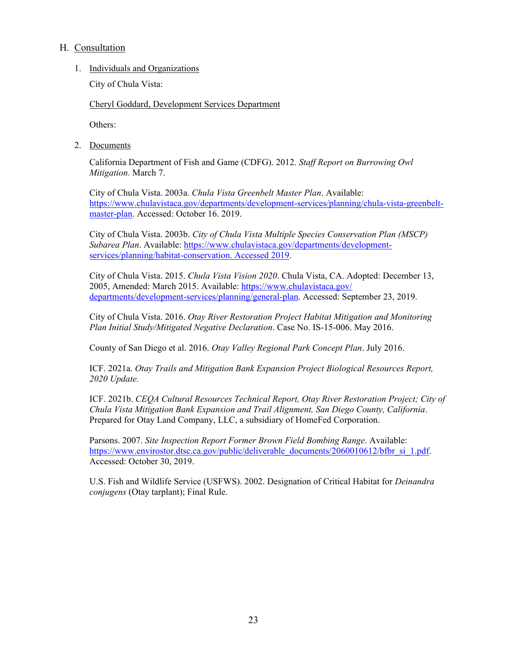## H. Consultation

1. Individuals and Organizations

City of Chula Vista:

Cheryl Goddard, Development Services Department

Others:

2. Documents

California Department of Fish and Game (CDFG). 2012. *Staff Report on Burrowing Owl Mitigation.* March 7.

City of Chula Vista. 2003a. *Chula Vista Greenbelt Master Plan*. Available: [https://www.chulavistaca.gov/departments/development-services/planning/chula-vista-greenbelt](https://www.chulavistaca.gov/departments/development-services/planning/chula-vista-greenbelt-master-plan)[master-plan.](https://www.chulavistaca.gov/departments/development-services/planning/chula-vista-greenbelt-master-plan) Accessed: October 16. 2019.

City of Chula Vista. 2003b. *City of Chula Vista Multiple Species Conservation Plan (MSCP) Subarea Plan*. Available: [https://www.chulavistaca.gov/departments/development](https://www.chulavistaca.gov/departments/development-services/planning/habitat-conservation.%20Accessed%202019)[services/planning/habitat-conservation. Accessed 2019.](https://www.chulavistaca.gov/departments/development-services/planning/habitat-conservation.%20Accessed%202019)

City of Chula Vista. 2015. *Chula Vista Vision 2020*. Chula Vista, CA. Adopted: December 13, 2005, Amended: March 2015. Available: [https://www.chulavistaca.gov/](https://www.chulavistaca.gov/departments/development-services/planning/general-plan) [departments/development-services/planning/general-plan.](https://www.chulavistaca.gov/departments/development-services/planning/general-plan) Accessed: September 23, 2019.

City of Chula Vista. 2016. *Otay River Restoration Project Habitat Mitigation and Monitoring Plan Initial Study/Mitigated Negative Declaration*. Case No. IS-15-006. May 2016.

County of San Diego et al. 2016. *Otay Valley Regional Park Concept Plan*. July 2016.

ICF. 2021a. *Otay Trails and Mitigation Bank Expansion Project Biological Resources Report, 2020 Update.*

ICF. 2021b. *CEQA Cultural Resources Technical Report, Otay River Restoration Project; City of Chula Vista Mitigation Bank Expansion and Trail Alignment, San Diego County, California*. Prepared for Otay Land Company, LLC, a subsidiary of HomeFed Corporation.

Parsons. 2007. *Site Inspection Report Former Brown Field Bombing Range*. Available: [https://www.envirostor.dtsc.ca.gov/public/deliverable\\_documents/2060010612/bfbr\\_si\\_1.pdf.](https://www.envirostor.dtsc.ca.gov/public/deliverable_documents/2060010612/bfbr_si_1.pdf) Accessed: October 30, 2019.

U.S. Fish and Wildlife Service (USFWS). 2002. Designation of Critical Habitat for *Deinandra conjugens* (Otay tarplant); Final Rule.